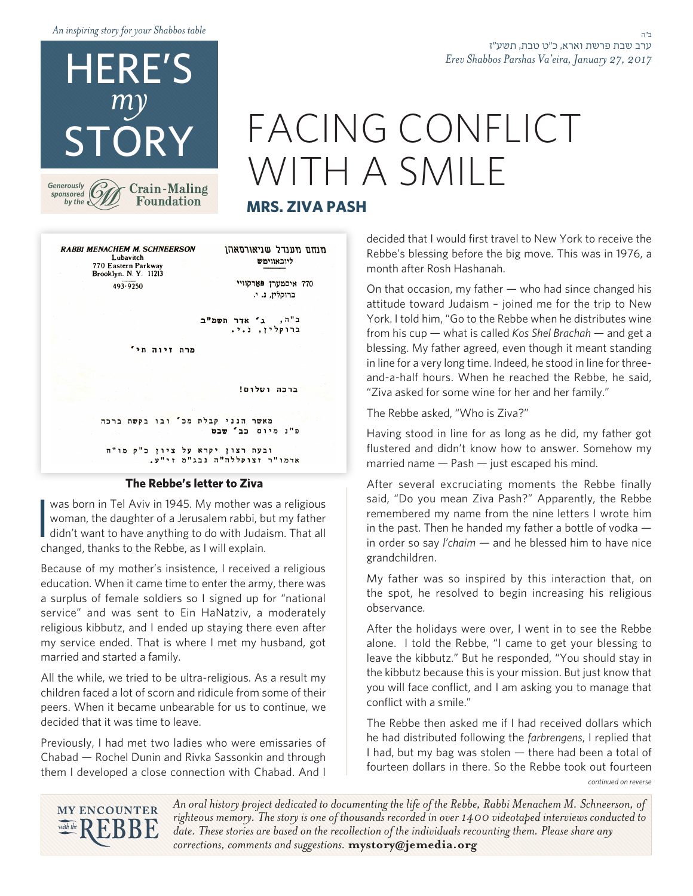*table Shabbos your for story inspiring An*

ב"ה ערב שבת פרשת וארא, כ״ט טבת, תשע״ז *Erev Shabbos Parshas Va'eira, January 27, 2017* 

### HERE'S *my* STORY

*Generously sponsored* by the  $\epsilon$ 

## FACING CONFLICT WITH A SMILE

#### **MRS. ZIVA PASH**

**RABBI MENACHEM M. SCHNEERSON** מנחם מענדל שניאורסאהן Lubavitch ליוכאווימש 770 Eastern Parkway<br>Brooklyn. N. Y. 11213 770 איסמערן פארקוויי  $493 - 9250$ ברוקלין, נ. י. ב"ה, ג' אדר תשמ"ב ברוקלין, נ.י. מרת זיוה חי'

**Crain-Maling Foundation** 

ברכה ושלום!

מאשר הנני קבלת מכ' ובו בקשת ברכה פ"נ מיום כב' שבט

ובעת רצון יקרא על ציון כ"ק מו"ח אדמו"ר זצוקללה"ה נבג"מ זי"ע.

#### The Rebbe's letter to Ziva

was born in Tel Aviv in 1945. My mother was a religious<br>woman, the daughter of a Jerusalem rabbi, but my father<br>didn't want to have anything to do with Judaism. That all<br>changed thanks to the Bobbe, as J will explain. was born in Tel Aviv in 1945. My mother was a religious woman, the daughter of a Jerusalem rabbi, but my father changed, thanks to the Rebbe, as I will explain.

Because of my mother's insistence, I received a religious education. When it came time to enter the army, there was a surplus of female soldiers so I signed up for "national service" and was sent to Ein HaNatziv, a moderately religious kibbutz, and I ended up staying there even after my service ended. That is where I met my husband, got married and started a family.

All the while, we tried to be ultra-religious. As a result my children faced a lot of scorn and ridicule from some of their peers. When it became unbearable for us to continue, we decided that it was time to leave.

Previously, I had met two ladies who were emissaries of Chabad — Rochel Dunin and Rivka Sassonkin and through them I developed a close connection with Chabad. And I

decided that I would first travel to New York to receive the Rebbe's blessing before the big move. This was in 1976, a month after Rosh Hashanah.

On that occasion, my father  $-$  who had since changed his attitude toward Judaism - joined me for the trip to New York. I told him, "Go to the Rebbe when he distributes wine from his cup — what is called Kos Shel Brachah — and get a blessing. My father agreed, even though it meant standing and-a-half hours. When he reached the Rebbe, he said, in line for a very long time. Indeed, he stood in line for three-"Ziva asked for some wine for her and her family."

The Rebbe asked. "Who is Ziva?"

Having stood in line for as long as he did, my father got flustered and didn't know how to answer. Somehow my married name  $-$  Pash  $-$  just escaped his mind.

After several excruciating moments the Rebbe finally said, "Do you mean Ziva Pash?" Apparently, the Rebbe remembered my name from the nine letters I wrote him in the past. Then he handed my father a bottle of vodka  $$ in order so say *l'chaim* — and he blessed him to have nice .grandchildren

My father was so inspired by this interaction that, on the spot, he resolved to begin increasing his religious .observance

After the holidays were over, I went in to see the Rebbe alone. I told the Rebbe, "I came to get your blessing to leave the kibbutz." But he responded, "You should stay in the kibbutz because this is your mission. But just know that you will face conflict, and I am asking you to manage that conflict with a smile."

*reverse on continued* The Rebbe then asked me if I had received dollars which he had distributed following the farbrengens, I replied that I had, but my bag was stolen  $-$  there had been a total of fourteen dollars in there. So the Rebbe took out fourteen

**MY ENCOUNTER** with the  $\mathbb{R}$ **BB** 

An oral history project dedicated to documenting the life of the Rebbe, Rabbi Menachem M. Schneerson, of righteous memory. The story is one of thousands recorded in over 1400 videotaped interviews conducted to date. These stories are based on the recollection of the individuals recounting them. Please share any corrections, comments and suggestions. mystory@jemedia.org